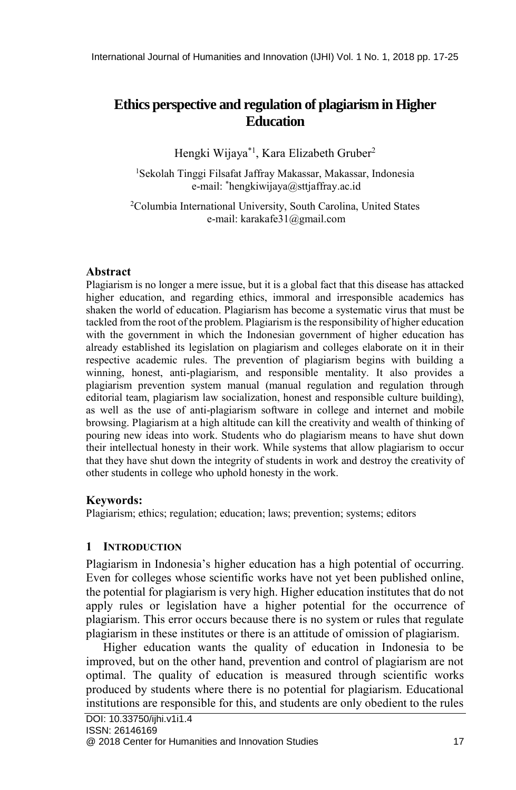# **Ethics perspective and regulation of plagiarism in Higher Education**

Hengki Wijaya\*1 , Kara Elizabeth Gruber<sup>2</sup>

<sup>1</sup>Sekolah Tinggi Filsafat Jaffray Makassar, Makassar, Indonesia e-mail: \*hengkiwijaya@sttjaffray.ac.id

<sup>2</sup>Columbia International University, South Carolina, United States e-mail: karakafe31@gmail.com

# **Abstract**

Plagiarism is no longer a mere issue, but it is a global fact that this disease has attacked higher education, and regarding ethics, immoral and irresponsible academics has shaken the world of education. Plagiarism has become a systematic virus that must be tackled from the root of the problem. Plagiarism is the responsibility of higher education with the government in which the Indonesian government of higher education has already established its legislation on plagiarism and colleges elaborate on it in their respective academic rules. The prevention of plagiarism begins with building a winning, honest, anti-plagiarism, and responsible mentality. It also provides a plagiarism prevention system manual (manual regulation and regulation through editorial team, plagiarism law socialization, honest and responsible culture building), as well as the use of anti-plagiarism software in college and internet and mobile browsing. Plagiarism at a high altitude can kill the creativity and wealth of thinking of pouring new ideas into work. Students who do plagiarism means to have shut down their intellectual honesty in their work. While systems that allow plagiarism to occur that they have shut down the integrity of students in work and destroy the creativity of other students in college who uphold honesty in the work.

## **Keywords:**

Plagiarism; ethics; regulation; education; laws; prevention; systems; editors

# **1 INTRODUCTION**

Plagiarism in Indonesia's higher education has a high potential of occurring. Even for colleges whose scientific works have not yet been published online, the potential for plagiarism is very high. Higher education institutes that do not apply rules or legislation have a higher potential for the occurrence of plagiarism. This error occurs because there is no system or rules that regulate plagiarism in these institutes or there is an attitude of omission of plagiarism.

Higher education wants the quality of education in Indonesia to be improved, but on the other hand, prevention and control of plagiarism are not optimal. The quality of education is measured through scientific works produced by students where there is no potential for plagiarism. Educational institutions are responsible for this, and students are only obedient to the rules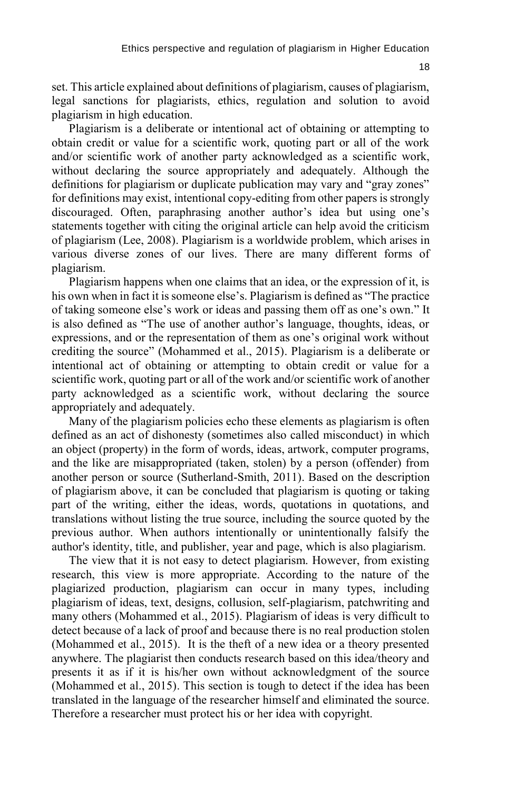18

set. This article explained about definitions of plagiarism, causes of plagiarism, legal sanctions for plagiarists, ethics, regulation and solution to avoid plagiarism in high education.

Plagiarism is a deliberate or intentional act of obtaining or attempting to obtain credit or value for a scientific work, quoting part or all of the work and/or scientific work of another party acknowledged as a scientific work, without declaring the source appropriately and adequately. Although the definitions for plagiarism or duplicate publication may vary and "gray zones" for definitions may exist, intentional copy-editing from other papers is strongly discouraged. Often, paraphrasing another author's idea but using one's statements together with citing the original article can help avoid the criticism of plagiarism (Lee, 2008). Plagiarism is a worldwide problem, which arises in various diverse zones of our lives. There are many different forms of plagiarism.

Plagiarism happens when one claims that an idea, or the expression of it, is his own when in fact it is someone else's. Plagiarism is defined as "The practice of taking someone else's work or ideas and passing them off as one's own." It is also defined as "The use of another author's language, thoughts, ideas, or expressions, and or the representation of them as one's original work without crediting the source" (Mohammed et al., 2015). Plagiarism is a deliberate or intentional act of obtaining or attempting to obtain credit or value for a scientific work, quoting part or all of the work and/or scientific work of another party acknowledged as a scientific work, without declaring the source appropriately and adequately.

Many of the plagiarism policies echo these elements as plagiarism is often defined as an act of dishonesty (sometimes also called misconduct) in which an object (property) in the form of words, ideas, artwork, computer programs, and the like are misappropriated (taken, stolen) by a person (offender) from another person or source (Sutherland-Smith, 2011). Based on the description of plagiarism above, it can be concluded that plagiarism is quoting or taking part of the writing, either the ideas, words, quotations in quotations, and translations without listing the true source, including the source quoted by the previous author. When authors intentionally or unintentionally falsify the author's identity, title, and publisher, year and page, which is also plagiarism.

The view that it is not easy to detect plagiarism. However, from existing research, this view is more appropriate. According to the nature of the plagiarized production, plagiarism can occur in many types, including plagiarism of ideas, text, designs, collusion, self-plagiarism, patchwriting and many others (Mohammed et al., 2015). Plagiarism of ideas is very difficult to detect because of a lack of proof and because there is no real production stolen (Mohammed et al., 2015). It is the theft of a new idea or a theory presented anywhere. The plagiarist then conducts research based on this idea/theory and presents it as if it is his/her own without acknowledgment of the source (Mohammed et al., 2015). This section is tough to detect if the idea has been translated in the language of the researcher himself and eliminated the source. Therefore a researcher must protect his or her idea with copyright.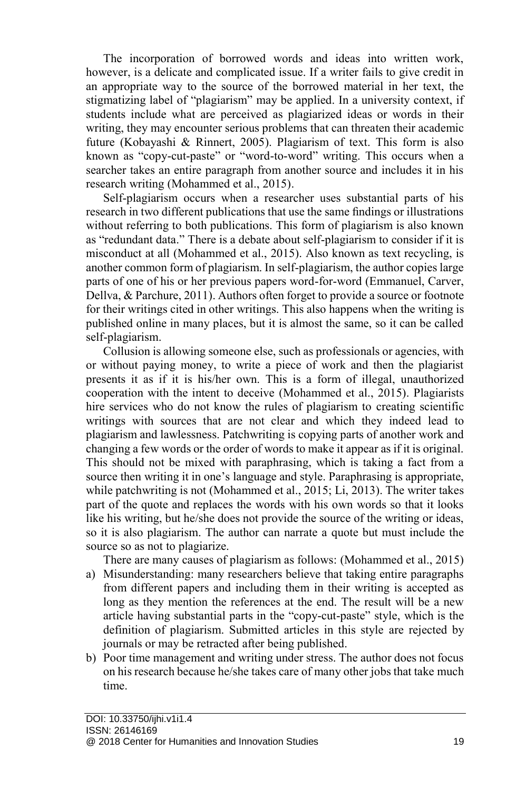The incorporation of borrowed words and ideas into written work, however, is a delicate and complicated issue. If a writer fails to give credit in an appropriate way to the source of the borrowed material in her text, the stigmatizing label of "plagiarism" may be applied. In a university context, if students include what are perceived as plagiarized ideas or words in their writing, they may encounter serious problems that can threaten their academic future (Kobayashi & Rinnert, 2005). Plagiarism of text. This form is also known as "copy-cut-paste" or "word-to-word" writing. This occurs when a searcher takes an entire paragraph from another source and includes it in his research writing (Mohammed et al., 2015).

Self-plagiarism occurs when a researcher uses substantial parts of his research in two different publications that use the same findings or illustrations without referring to both publications. This form of plagiarism is also known as "redundant data." There is a debate about self-plagiarism to consider if it is misconduct at all (Mohammed et al., 2015). Also known as text recycling, is another common form of plagiarism. In self-plagiarism, the author copies large parts of one of his or her previous papers word-for-word (Emmanuel, Carver, Dellva, & Parchure, 2011). Authors often forget to provide a source or footnote for their writings cited in other writings. This also happens when the writing is published online in many places, but it is almost the same, so it can be called self-plagiarism.

Collusion is allowing someone else, such as professionals or agencies, with or without paying money, to write a piece of work and then the plagiarist presents it as if it is his/her own. This is a form of illegal, unauthorized cooperation with the intent to deceive (Mohammed et al., 2015). Plagiarists hire services who do not know the rules of plagiarism to creating scientific writings with sources that are not clear and which they indeed lead to plagiarism and lawlessness. Patchwriting is copying parts of another work and changing a few words or the order of words to make it appear as if it is original. This should not be mixed with paraphrasing, which is taking a fact from a source then writing it in one's language and style. Paraphrasing is appropriate, while patchwriting is not (Mohammed et al., 2015; Li, 2013). The writer takes part of the quote and replaces the words with his own words so that it looks like his writing, but he/she does not provide the source of the writing or ideas, so it is also plagiarism. The author can narrate a quote but must include the source so as not to plagiarize.

There are many causes of plagiarism as follows: (Mohammed et al., 2015)

- a) Misunderstanding: many researchers believe that taking entire paragraphs from different papers and including them in their writing is accepted as long as they mention the references at the end. The result will be a new article having substantial parts in the "copy-cut-paste" style, which is the definition of plagiarism. Submitted articles in this style are rejected by journals or may be retracted after being published.
- b) Poor time management and writing under stress. The author does not focus on his research because he/she takes care of many other jobs that take much time.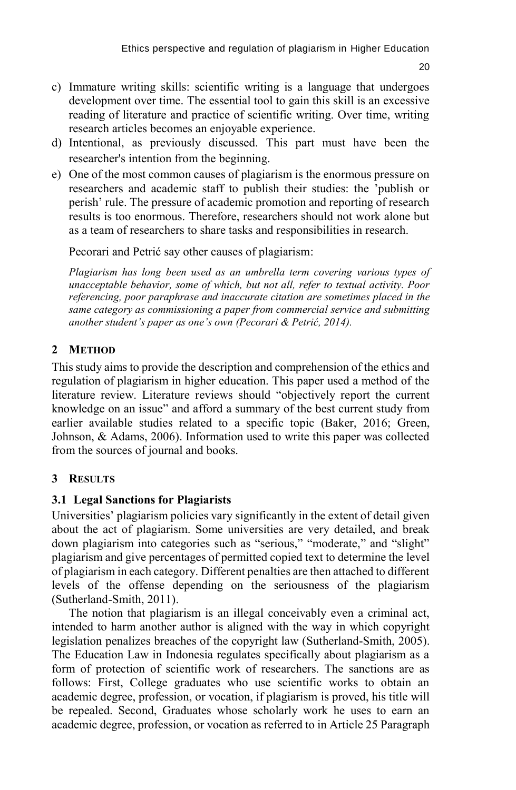- c) Immature writing skills: scientific writing is a language that undergoes development over time. The essential tool to gain this skill is an excessive reading of literature and practice of scientific writing. Over time, writing research articles becomes an enjoyable experience.
- d) Intentional, as previously discussed. This part must have been the researcher's intention from the beginning.
- e) One of the most common causes of plagiarism is the enormous pressure on researchers and academic staff to publish their studies: the 'publish or perish' rule. The pressure of academic promotion and reporting of research results is too enormous. Therefore, researchers should not work alone but as a team of researchers to share tasks and responsibilities in research.

Pecorari and Petrić say other causes of plagiarism:

*Plagiarism has long been used as an umbrella term covering various types of unacceptable behavior, some of which, but not all, refer to textual activity. Poor referencing, poor paraphrase and inaccurate citation are sometimes placed in the same category as commissioning a paper from commercial service and submitting another student's paper as one's own (Pecorari & Petrić, 2014).*

# **2 METHOD**

This study aims to provide the description and comprehension of the ethics and regulation of plagiarism in higher education. This paper used a method of the literature review. Literature reviews should "objectively report the current knowledge on an issue" and afford a summary of the best current study from earlier available studies related to a specific topic (Baker, 2016; Green, Johnson, & Adams, 2006). Information used to write this paper was collected from the sources of journal and books.

# **3 RESULTS**

# **3.1 Legal Sanctions for Plagiarists**

Universities' plagiarism policies vary significantly in the extent of detail given about the act of plagiarism. Some universities are very detailed, and break down plagiarism into categories such as "serious," "moderate," and "slight" plagiarism and give percentages of permitted copied text to determine the level of plagiarism in each category. Different penalties are then attached to different levels of the offense depending on the seriousness of the plagiarism (Sutherland-Smith, 2011).

The notion that plagiarism is an illegal conceivably even a criminal act, intended to harm another author is aligned with the way in which copyright legislation penalizes breaches of the copyright law (Sutherland-Smith, 2005). The Education Law in Indonesia regulates specifically about plagiarism as a form of protection of scientific work of researchers. The sanctions are as follows: First, College graduates who use scientific works to obtain an academic degree, profession, or vocation, if plagiarism is proved, his title will be repealed. Second, Graduates whose scholarly work he uses to earn an academic degree, profession, or vocation as referred to in Article 25 Paragraph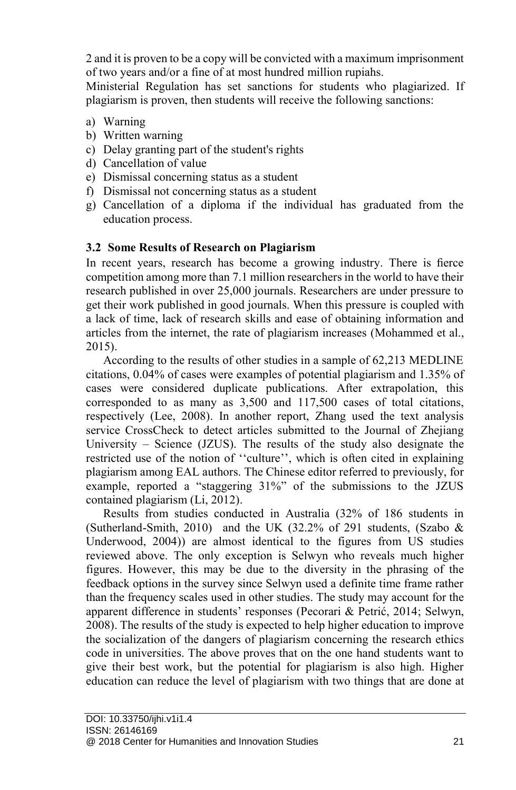2 and it is proven to be a copy will be convicted with a maximum imprisonment of two years and/or a fine of at most hundred million rupiahs.

Ministerial Regulation has set sanctions for students who plagiarized. If plagiarism is proven, then students will receive the following sanctions:

- a) Warning
- b) Written warning
- c) Delay granting part of the student's rights
- d) Cancellation of value
- e) Dismissal concerning status as a student
- f) Dismissal not concerning status as a student
- g) Cancellation of a diploma if the individual has graduated from the education process.

# **3.2 Some Results of Research on Plagiarism**

In recent years, research has become a growing industry. There is fierce competition among more than 7.1 million researchers in the world to have their research published in over 25,000 journals. Researchers are under pressure to get their work published in good journals. When this pressure is coupled with a lack of time, lack of research skills and ease of obtaining information and articles from the internet, the rate of plagiarism increases (Mohammed et al., 2015).

According to the results of other studies in a sample of 62,213 MEDLINE citations, 0.04% of cases were examples of potential plagiarism and 1.35% of cases were considered duplicate publications. After extrapolation, this corresponded to as many as 3,500 and 117,500 cases of total citations, respectively (Lee, 2008). In another report, Zhang used the text analysis service CrossCheck to detect articles submitted to the Journal of Zhejiang University – Science (JZUS). The results of the study also designate the restricted use of the notion of ''culture'', which is often cited in explaining plagiarism among EAL authors. The Chinese editor referred to previously, for example, reported a "staggering 31%" of the submissions to the JZUS contained plagiarism (Li, 2012).

Results from studies conducted in Australia (32% of 186 students in (Sutherland-Smith, 2010) and the UK (32.2% of 291 students, (Szabo  $\&$ Underwood, 2004)) are almost identical to the figures from US studies reviewed above. The only exception is Selwyn who reveals much higher figures. However, this may be due to the diversity in the phrasing of the feedback options in the survey since Selwyn used a definite time frame rather than the frequency scales used in other studies. The study may account for the apparent difference in students' responses (Pecorari & Petrić, 2014; Selwyn, 2008). The results of the study is expected to help higher education to improve the socialization of the dangers of plagiarism concerning the research ethics code in universities. The above proves that on the one hand students want to give their best work, but the potential for plagiarism is also high. Higher education can reduce the level of plagiarism with two things that are done at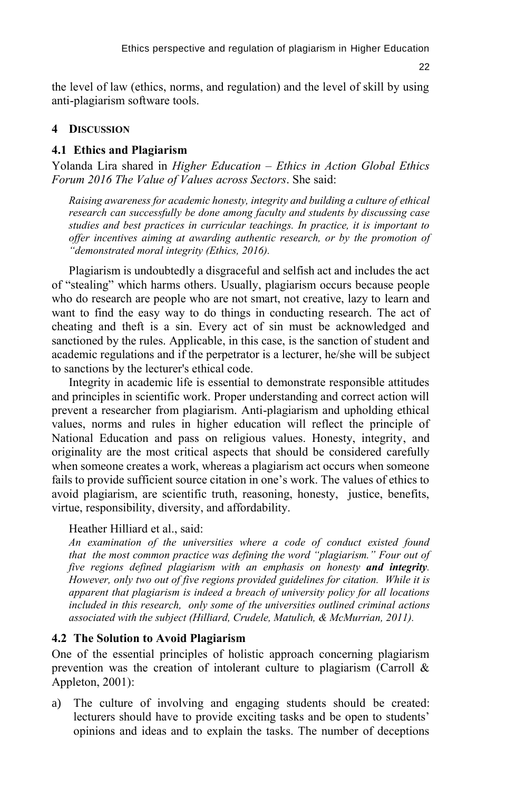22

the level of law (ethics, norms, and regulation) and the level of skill by using anti-plagiarism software tools.

## **4 DISCUSSION**

## **4.1 Ethics and Plagiarism**

Yolanda Lira shared in *Higher Education – Ethics in Action Global Ethics Forum 2016 The Value of Values across Sectors*. She said:

*Raising awareness for academic honesty, integrity and building a culture of ethical research can successfully be done among faculty and students by discussing case studies and best practices in curricular teachings. In practice, it is important to offer incentives aiming at awarding authentic research, or by the promotion of "demonstrated moral integrity (Ethics, 2016).*

Plagiarism is undoubtedly a disgraceful and selfish act and includes the act of "stealing" which harms others. Usually, plagiarism occurs because people who do research are people who are not smart, not creative, lazy to learn and want to find the easy way to do things in conducting research. The act of cheating and theft is a sin. Every act of sin must be acknowledged and sanctioned by the rules. Applicable, in this case, is the sanction of student and academic regulations and if the perpetrator is a lecturer, he/she will be subject to sanctions by the lecturer's ethical code.

Integrity in academic life is essential to demonstrate responsible attitudes and principles in scientific work. Proper understanding and correct action will prevent a researcher from plagiarism. Anti-plagiarism and upholding ethical values, norms and rules in higher education will reflect the principle of National Education and pass on religious values. Honesty, integrity, and originality are the most critical aspects that should be considered carefully when someone creates a work, whereas a plagiarism act occurs when someone fails to provide sufficient source citation in one's work. The values of ethics to avoid plagiarism, are scientific truth, reasoning, honesty, justice, benefits, virtue, responsibility, diversity, and affordability.

### Heather Hilliard et al., said:

*An examination of the universities where a code of conduct existed found that the most common practice was defining the word "plagiarism." Four out of five regions defined plagiarism with an emphasis on honesty and integrity. However, only two out of five regions provided guidelines for citation. While it is apparent that plagiarism is indeed a breach of university policy for all locations included in this research, only some of the universities outlined criminal actions associated with the subject (Hilliard, Crudele, Matulich, & McMurrian, 2011).* 

## **4.2 The Solution to Avoid Plagiarism**

One of the essential principles of holistic approach concerning plagiarism prevention was the creation of intolerant culture to plagiarism (Carroll  $\&$ Appleton, 2001):

a) The culture of involving and engaging students should be created: lecturers should have to provide exciting tasks and be open to students' opinions and ideas and to explain the tasks. The number of deceptions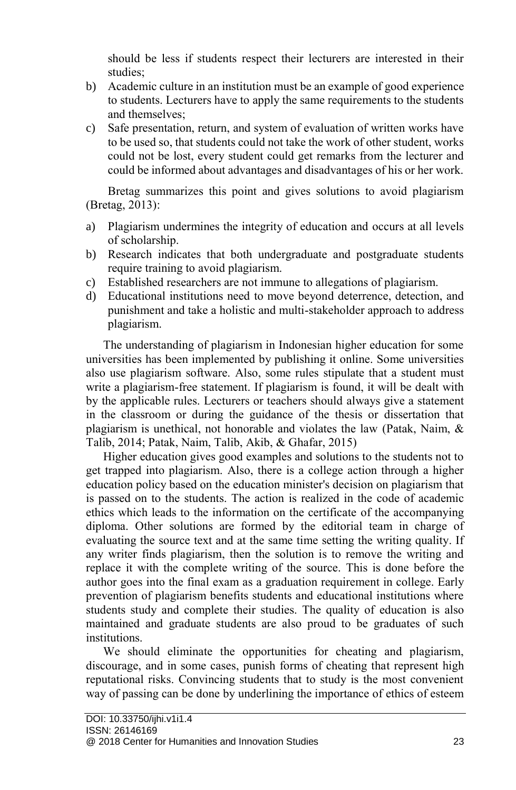should be less if students respect their lecturers are interested in their studies;

- b) Academic culture in an institution must be an example of good experience to students. Lecturers have to apply the same requirements to the students and themselves;
- c) Safe presentation, return, and system of evaluation of written works have to be used so, that students could not take the work of other student, works could not be lost, every student could get remarks from the lecturer and could be informed about advantages and disadvantages of his or her work.

Bretag summarizes this point and gives solutions to avoid plagiarism (Bretag, 2013):

- a) Plagiarism undermines the integrity of education and occurs at all levels of scholarship.
- b) Research indicates that both undergraduate and postgraduate students require training to avoid plagiarism.
- c) Established researchers are not immune to allegations of plagiarism.
- d) Educational institutions need to move beyond deterrence, detection, and punishment and take a holistic and multi-stakeholder approach to address plagiarism.

The understanding of plagiarism in Indonesian higher education for some universities has been implemented by publishing it online. Some universities also use plagiarism software. Also, some rules stipulate that a student must write a plagiarism-free statement. If plagiarism is found, it will be dealt with by the applicable rules. Lecturers or teachers should always give a statement in the classroom or during the guidance of the thesis or dissertation that plagiarism is unethical, not honorable and violates the law (Patak, Naim, & Talib, 2014; Patak, Naim, Talib, Akib, & Ghafar, 2015)

Higher education gives good examples and solutions to the students not to get trapped into plagiarism. Also, there is a college action through a higher education policy based on the education minister's decision on plagiarism that is passed on to the students. The action is realized in the code of academic ethics which leads to the information on the certificate of the accompanying diploma. Other solutions are formed by the editorial team in charge of evaluating the source text and at the same time setting the writing quality. If any writer finds plagiarism, then the solution is to remove the writing and replace it with the complete writing of the source. This is done before the author goes into the final exam as a graduation requirement in college. Early prevention of plagiarism benefits students and educational institutions where students study and complete their studies. The quality of education is also maintained and graduate students are also proud to be graduates of such institutions.

We should eliminate the opportunities for cheating and plagiarism, discourage, and in some cases, punish forms of cheating that represent high reputational risks. Convincing students that to study is the most convenient way of passing can be done by underlining the importance of ethics of esteem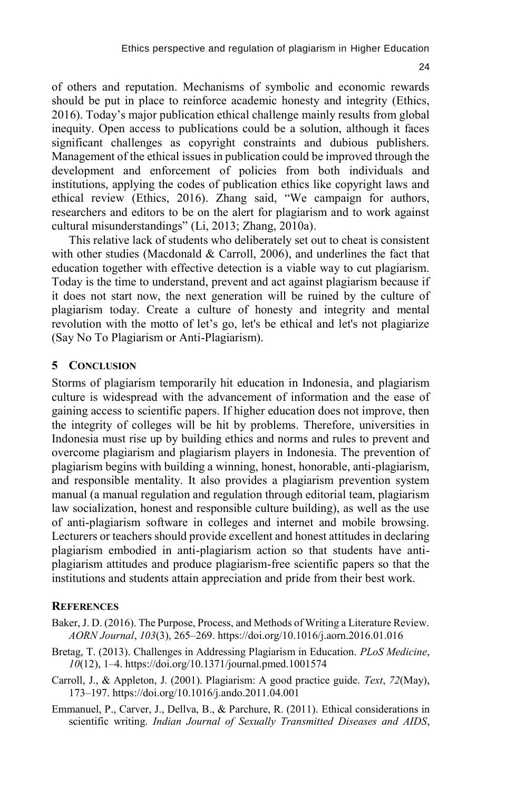$24$ 

of others and reputation. Mechanisms of symbolic and economic rewards should be put in place to reinforce academic honesty and integrity (Ethics, 2016). Today's major publication ethical challenge mainly results from global inequity. Open access to publications could be a solution, although it faces significant challenges as copyright constraints and dubious publishers. Management of the ethical issues in publication could be improved through the development and enforcement of policies from both individuals and institutions, applying the codes of publication ethics like copyright laws and ethical review (Ethics, 2016). Zhang said, "We campaign for authors, researchers and editors to be on the alert for plagiarism and to work against cultural misunderstandings" (Li, 2013; Zhang, 2010a).

This relative lack of students who deliberately set out to cheat is consistent with other studies (Macdonald & Carroll, 2006), and underlines the fact that education together with effective detection is a viable way to cut plagiarism. Today is the time to understand, prevent and act against plagiarism because if it does not start now, the next generation will be ruined by the culture of plagiarism today. Create a culture of honesty and integrity and mental revolution with the motto of let's go, let's be ethical and let's not plagiarize (Say No To Plagiarism or Anti-Plagiarism).

### **5 CONCLUSION**

Storms of plagiarism temporarily hit education in Indonesia, and plagiarism culture is widespread with the advancement of information and the ease of gaining access to scientific papers. If higher education does not improve, then the integrity of colleges will be hit by problems. Therefore, universities in Indonesia must rise up by building ethics and norms and rules to prevent and overcome plagiarism and plagiarism players in Indonesia. The prevention of plagiarism begins with building a winning, honest, honorable, anti-plagiarism, and responsible mentality. It also provides a plagiarism prevention system manual (a manual regulation and regulation through editorial team, plagiarism law socialization, honest and responsible culture building), as well as the use of anti-plagiarism software in colleges and internet and mobile browsing. Lecturers or teachers should provide excellent and honest attitudes in declaring plagiarism embodied in anti-plagiarism action so that students have antiplagiarism attitudes and produce plagiarism-free scientific papers so that the institutions and students attain appreciation and pride from their best work.

#### **REFERENCES**

- Baker, J. D. (2016). The Purpose, Process, and Methods of Writing a Literature Review. *AORN Journal*, *103*(3), 265–269. https://doi.org/10.1016/j.aorn.2016.01.016
- Bretag, T. (2013). Challenges in Addressing Plagiarism in Education. *PLoS Medicine*, *10*(12), 1–4. https://doi.org/10.1371/journal.pmed.1001574
- Carroll, J., & Appleton, J. (2001). Plagiarism: A good practice guide. *Text*, *72*(May), 173–197. https://doi.org/10.1016/j.ando.2011.04.001
- Emmanuel, P., Carver, J., Dellva, B., & Parchure, R. (2011). Ethical considerations in scientific writing. *Indian Journal of Sexually Transmitted Diseases and AIDS*,